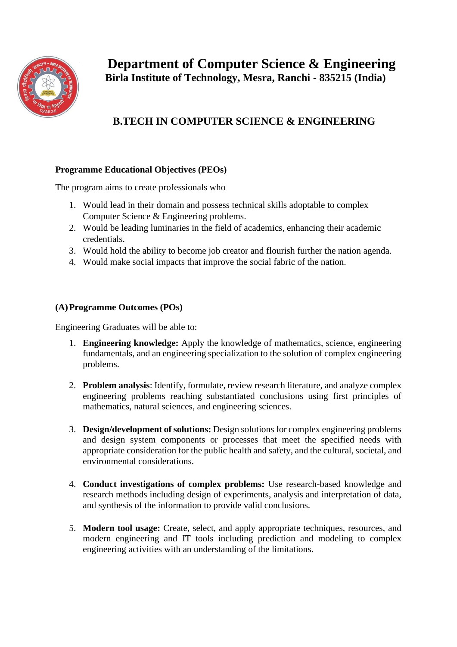

## **B.TECH IN COMPUTER SCIENCE & ENGINEERING**

## **Programme Educational Objectives (PEOs)**

The program aims to create professionals who

- 1. Would lead in their domain and possess technical skills adoptable to complex Computer Science & Engineering problems.
- 2. Would be leading luminaries in the field of academics, enhancing their academic credentials.
- 3. Would hold the ability to become job creator and flourish further the nation agenda.
- 4. Would make social impacts that improve the social fabric of the nation.

## **(A)Programme Outcomes (POs)**

Engineering Graduates will be able to:

- 1. **Engineering knowledge:** Apply the knowledge of mathematics, science, engineering fundamentals, and an engineering specialization to the solution of complex engineering problems.
- 2. **Problem analysis**: Identify, formulate, review research literature, and analyze complex engineering problems reaching substantiated conclusions using first principles of mathematics, natural sciences, and engineering sciences.
- 3. **Design/development of solutions:** Design solutions for complex engineering problems and design system components or processes that meet the specified needs with appropriate consideration for the public health and safety, and the cultural, societal, and environmental considerations.
- 4. **Conduct investigations of complex problems:** Use research-based knowledge and research methods including design of experiments, analysis and interpretation of data, and synthesis of the information to provide valid conclusions.
- 5. **Modern tool usage:** Create, select, and apply appropriate techniques, resources, and modern engineering and IT tools including prediction and modeling to complex engineering activities with an understanding of the limitations.